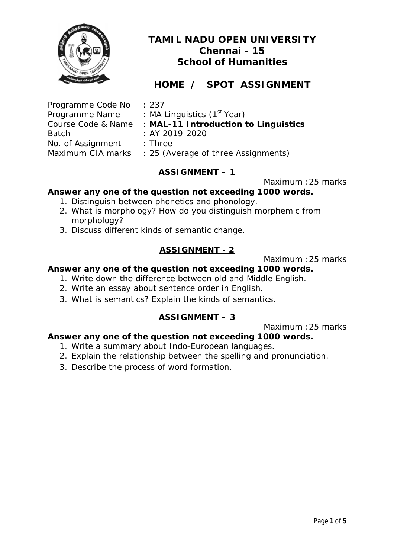

# **HOME / SPOT ASSIGNMENT**

| Programme Code No  |
|--------------------|
| Programme Name     |
| Course Code & Name |
| Batch              |
| No. of Assignment  |
| Maximum CIA marks  |

 $: 237$ 

: MA Linguistics (1<sup>st</sup> Year)

: MAL-11 Introduction to Linguistics

- $:BY 2019-2020$
- $\cdot$  Three

: 25 (Average of three Assignments)

# **ASSIGNMENT – 1**

Maximum :25 marks

# **Answer any one of the question not exceeding 1000 words.**

- 1. Distinguish between phonetics and phonology.
- 2. What is morphology? How do you distinguish morphemic from morphology?
- 3. Discuss different kinds of semantic change.

# **ASSIGNMENT - 2**

Maximum :25 marks

#### **Answer any one of the question not exceeding 1000 words.**

- 1. Write down the difference between old and Middle English.
- 2. Write an essay about sentence order in English.
- 3. What is semantics? Explain the kinds of semantics.

## **ASSIGNMENT – 3**

Maximum :25 marks

- 1. Write a summary about Indo-European languages.
- 2. Explain the relationship between the spelling and pronunciation.
- 3. Describe the process of word formation.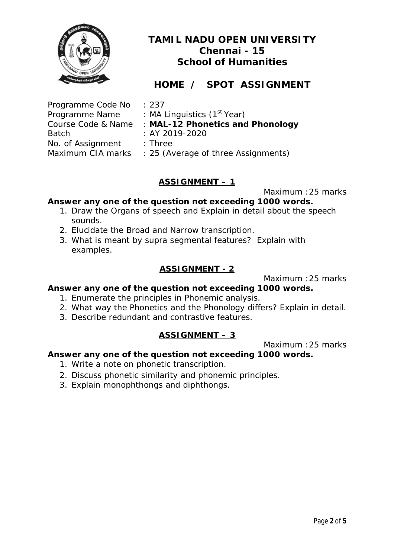

# **HOME / SPOT ASSIGNMENT**

| Programme Code No  | : 237                                   |
|--------------------|-----------------------------------------|
| Programme Name     | : MA Linguistics (1 <sup>st</sup> Year) |
| Course Code & Name | : MAL-12 Phonetics and Phonology        |
| <b>Batch</b>       | $: AY 2019 - 2020$                      |
| No. of Assignment  | $:$ Three                               |
| Maximum CIA marks  | : 25 (Average of three Assignments)     |

## **ASSIGNMENT – 1**

Maximum :25 marks

## **Answer any one of the question not exceeding 1000 words.**

- 1. Draw the Organs of speech and Explain in detail about the speech sounds.
- 2. Elucidate the Broad and Narrow transcription.
- 3. What is meant by supra segmental features? Explain with examples.

## **ASSIGNMENT - 2**

Maximum :25 marks

## **Answer any one of the question not exceeding 1000 words.**

- 1. Enumerate the principles in Phonemic analysis.
- 2. What way the Phonetics and the Phonology differs? Explain in detail.
- 3. Describe redundant and contrastive features.

## **ASSIGNMENT – 3**

Maximum :25 marks

- 1. Write a note on phonetic transcription.
- 2. Discuss phonetic similarity and phonemic principles.
- 3. Explain monophthongs and diphthongs.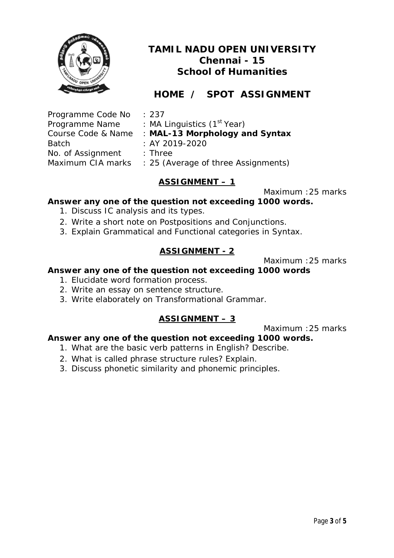

# **HOME / SPOT ASSIGNMENT**

| Programme Code No  | : 237                                   |
|--------------------|-----------------------------------------|
| Programme Name     | : MA Linguistics (1 <sup>st</sup> Year) |
| Course Code & Name | : MAL-13 Morphology and Syntax          |
| <b>Batch</b>       | : AY 2019-2020                          |
| No. of Assignment  | $:$ Three                               |
| Maximum CIA marks  | : 25 (Average of three Assignments)     |

# **ASSIGNMENT – 1**

Maximum :25 marks

## **Answer any one of the question not exceeding 1000 words.**

- 1. Discuss IC analysis and its types.
- 2. Write a short note on Postpositions and Conjunctions.
- 3. Explain Grammatical and Functional categories in Syntax.

## **ASSIGNMENT - 2**

Maximum :25 marks

#### **Answer any one of the question not exceeding 1000 words**

- 1. Elucidate word formation process.
- 2. Write an essay on sentence structure.
- 3. Write elaborately on Transformational Grammar.

## **ASSIGNMENT – 3**

Maximum :25 marks

- 1. What are the basic verb patterns in English? Describe.
- 2. What is called phrase structure rules? Explain.
- 3. Discuss phonetic similarity and phonemic principles.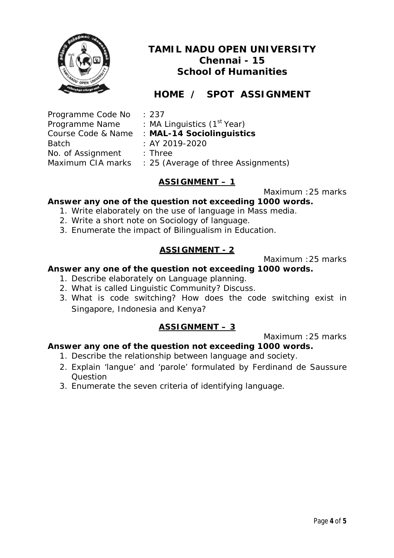

# **HOME / SPOT ASSIGNMENT**

| : 237                                   |
|-----------------------------------------|
| : MA Linguistics (1 <sup>st</sup> Year) |
| : MAL-14 Sociolinguistics               |
| : AY 2019-2020                          |
| $:$ Three                               |
| : 25 (Average of three Assignments)     |
|                                         |

# **ASSIGNMENT – 1**

Maximum :25 marks

## **Answer any one of the question not exceeding 1000 words.**

- 1. Write elaborately on the use of language in Mass media.
- 2. Write a short note on Sociology of language.
- 3. Enumerate the impact of Bilingualism in Education.

# **ASSIGNMENT - 2**

Maximum :25 marks

## **Answer any one of the question not exceeding 1000 words.**

- 1. Describe elaborately on Language planning.
- 2. What is called Linguistic Community? Discuss.
- 3. What is code switching? How does the code switching exist in Singapore, Indonesia and Kenya?

# **ASSIGNMENT – 3**

Maximum :25 marks

- 1. Describe the relationship between language and society.
- 2. Explain 'langue' and 'parole' formulated by Ferdinand de Saussure Question
- 3. Enumerate the seven criteria of identifying language.